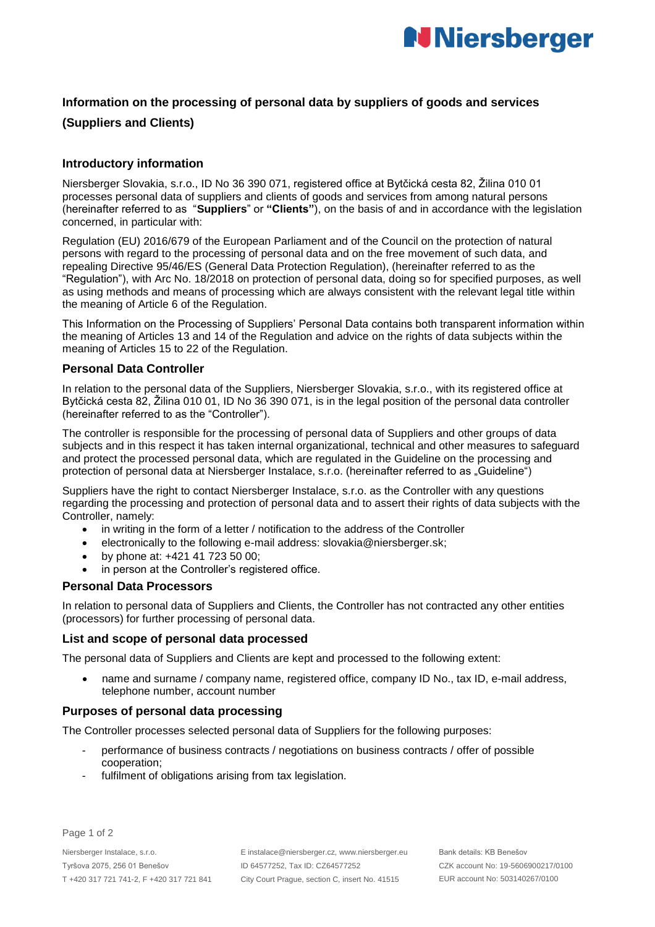

## **Information on the processing of personal data by suppliers of goods and services**

## **(Suppliers and Clients)**

### **Introductory information**

Niersberger Slovakia, s.r.o., ID No 36 390 071, registered office at Bytčická cesta 82, Žilina 010 01 processes personal data of suppliers and clients of goods and services from among natural persons (hereinafter referred to as "**Suppliers**" or **"Clients"**), on the basis of and in accordance with the legislation concerned, in particular with:

Regulation (EU) 2016/679 of the European Parliament and of the Council on the protection of natural persons with regard to the processing of personal data and on the free movement of such data, and repealing Directive 95/46/ES (General Data Protection Regulation), (hereinafter referred to as the "Regulation"), with Arc No. 18/2018 on protection of personal data, doing so for specified purposes, as well as using methods and means of processing which are always consistent with the relevant legal title within the meaning of Article 6 of the Regulation.

This Information on the Processing of Suppliers' Personal Data contains both transparent information within the meaning of Articles 13 and 14 of the Regulation and advice on the rights of data subjects within the meaning of Articles 15 to 22 of the Regulation.

#### **Personal Data Controller**

In relation to the personal data of the Suppliers, Niersberger Slovakia, s.r.o., with its registered office at Bytčická cesta 82, Žilina 010 01, ID No 36 390 071, is in the legal position of the personal data controller (hereinafter referred to as the "Controller").

The controller is responsible for the processing of personal data of Suppliers and other groups of data subjects and in this respect it has taken internal organizational, technical and other measures to safeguard and protect the processed personal data, which are regulated in the Guideline on the processing and protection of personal data at Niersberger Instalace, s.r.o. (hereinafter referred to as "Guideline")

Suppliers have the right to contact Niersberger Instalace, s.r.o. as the Controller with any questions regarding the processing and protection of personal data and to assert their rights of data subjects with the Controller, namely:

- in writing in the form of a letter / notification to the address of the Controller
- electronically to the following e-mail address: slovakia@niersberger.sk;
- by phone at: +421 41 723 50 00;
- in person at the Controller's registered office.

## **Personal Data Processors**

In relation to personal data of Suppliers and Clients, the Controller has not contracted any other entities (processors) for further processing of personal data.

#### **List and scope of personal data processed**

The personal data of Suppliers and Clients are kept and processed to the following extent:

 name and surname / company name, registered office, company ID No., tax ID, e-mail address, telephone number, account number

#### **Purposes of personal data processing**

The Controller processes selected personal data of Suppliers for the following purposes:

- performance of business contracts / negotiations on business contracts / offer of possible cooperation;
- fulfilment of obligations arising from tax legislation.

Page 1 of 2

E instalace@niersberger.cz, www.niersberger.eu ID 64577252, Tax ID: CZ64577252 City Court Prague, section C, insert No. 41515